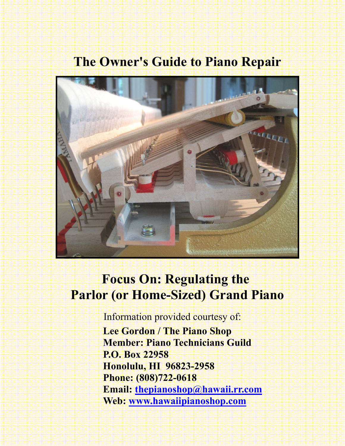# **The Owner's Guide to Piano Repair**



# **Focus On: Regulating the Parlor (or Home-Sized) Grand Piano**

Information provided courtesy of:

 **Lee Gordon / The Piano Shop Member: Piano Technicians Guild P.O. Box 22958 Honolulu, HI 96823-2958 Phone: (808)722-0618 Email: thepianoshop@hawaii.rr.com Web: www.hawaiipianoshop.com**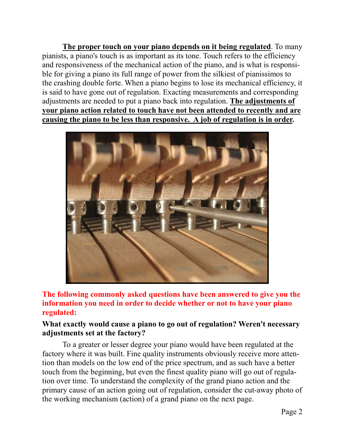**The proper touch on your piano depends on it being regulated**. To many pianists, a piano's touch is as important as its tone. Touch refers to the efficiency and responsiveness of the mechanical action of the piano, and is what is responsible for giving a piano its full range of power from the silkiest of pianissimos to the crashing double forte. When a piano begins to lose its mechanical efficiency, it is said to have gone out of regulation. Exacting measurements and corresponding adjustments are needed to put a piano back into regulation. **The adjustments of your piano action related to touch have not been attended to recently and are causing the piano to be less than responsive. A job of regulation is in order.** 



**The following commonly asked questions have been answered to give you the information you need in order to decide whether or not to have your piano regulated:** 

## **What exactly would cause a piano to go out of regulation? Weren't necessary adjustments set at the factory?**

To a greater or lesser degree your piano would have been regulated at the factory where it was built. Fine quality instruments obviously receive more attention than models on the low end of the price spectrum, and as such have a better touch from the beginning, but even the finest quality piano will go out of regulation over time. To understand the complexity of the grand piano action and the primary cause of an action going out of regulation, consider the cut-away photo of the working mechanism (action) of a grand piano on the next page.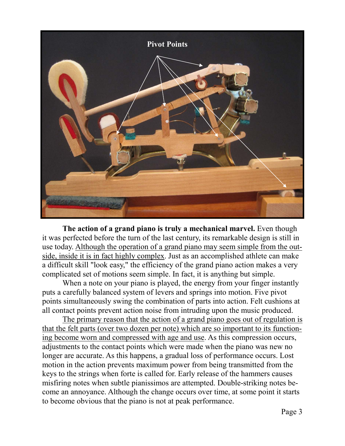

 **The action of a grand piano is truly a mechanical marvel.** Even though it was perfected before the turn of the last century, its remarkable design is still in use today. Although the operation of a grand piano may seem simple from the outside, inside it is in fact highly complex. Just as an accomplished athlete can make a difficult skill "look easy," the efficiency of the grand piano action makes a very complicated set of motions seem simple. In fact, it is anything but simple.

When a note on your piano is played, the energy from your finger instantly puts a carefully balanced system of levers and springs into motion. Five pivot points simultaneously swing the combination of parts into action. Felt cushions at all contact points prevent action noise from intruding upon the music produced.

 The primary reason that the action of a grand piano goes out of regulation is that the felt parts (over two dozen per note) which are so important to its functioning become worn and compressed with age and use. As this compression occurs, adjustments to the contact points which were made when the piano was new no longer are accurate. As this happens, a gradual loss of performance occurs. Lost motion in the action prevents maximum power from being transmitted from the keys to the strings when forte is called for. Early release of the hammers causes misfiring notes when subtle pianissimos are attempted. Double-striking notes become an annoyance. Although the change occurs over time, at some point it starts to become obvious that the piano is not at peak performance.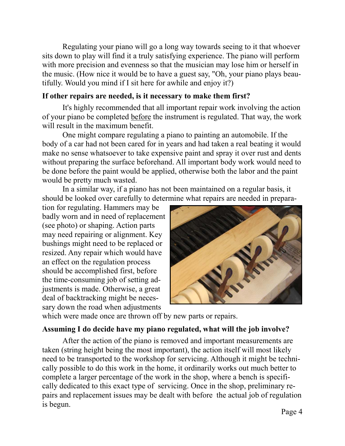Regulating your piano will go a long way towards seeing to it that whoever sits down to play will find it a truly satisfying experience. The piano will perform with more precision and evenness so that the musician may lose him or herself in the music. (How nice it would be to have a guest say, "Oh, your piano plays beautifully. Would you mind if I sit here for awhile and enjoy it?)

#### **If other repairs are needed, is it necessary to make them first?**

 It's highly recommended that all important repair work involving the action of your piano be completed before the instrument is regulated. That way, the work will result in the maximum benefit.

 One might compare regulating a piano to painting an automobile. If the body of a car had not been cared for in years and had taken a real beating it would make no sense whatsoever to take expensive paint and spray it over rust and dents without preparing the surface beforehand. All important body work would need to be done before the paint would be applied, otherwise both the labor and the paint would be pretty much wasted.

 In a similar way, if a piano has not been maintained on a regular basis, it should be looked over carefully to determine what repairs are needed in prepara-

tion for regulating. Hammers may be badly worn and in need of replacement (see photo) or shaping. Action parts may need repairing or alignment. Key bushings might need to be replaced or resized. Any repair which would have an effect on the regulation process should be accomplished first, before the time-consuming job of setting adjustments is made. Otherwise, a great deal of backtracking might be necessary down the road when adjustments



which were made once are thrown off by new parts or repairs.

## **Assuming I do decide have my piano regulated, what will the job involve?**

 After the action of the piano is removed and important measurements are taken (string height being the most important), the action itself will most likely need to be transported to the workshop for servicing. Although it might be technically possible to do this work in the home, it ordinarily works out much better to complete a larger percentage of the work in the shop, where a bench is specifically dedicated to this exact type of servicing. Once in the shop, preliminary repairs and replacement issues may be dealt with before the actual job of regulation is begun.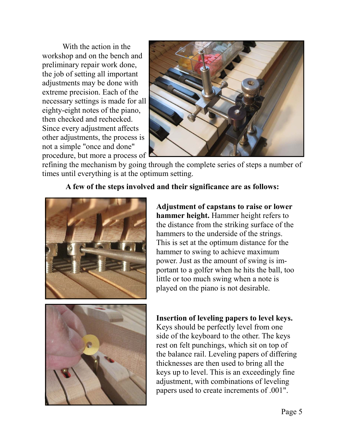With the action in the workshop and on the bench and preliminary repair work done, the job of setting all important adjustments may be done with extreme precision. Each of the necessary settings is made for all eighty-eight notes of the piano, then checked and rechecked. Since every adjustment affects other adjustments, the process is not a simple "once and done" procedure, but more a process of



refining the mechanism by going through the complete series of steps a number of times until everything is at the optimum setting.

**A few of the steps involved and their significance are as follows:** 



**Adjustment of capstans to raise or lower hammer height.** Hammer height refers to the distance from the striking surface of the hammers to the underside of the strings. This is set at the optimum distance for the hammer to swing to achieve maximum power. Just as the amount of swing is important to a golfer when he hits the ball, too little or too much swing when a note is played on the piano is not desirable.



## **Insertion of leveling papers to level keys.**

Keys should be perfectly level from one side of the keyboard to the other. The keys rest on felt punchings, which sit on top of the balance rail. Leveling papers of differing thicknesses are then used to bring all the keys up to level. This is an exceedingly fine adjustment, with combinations of leveling papers used to create increments of .001".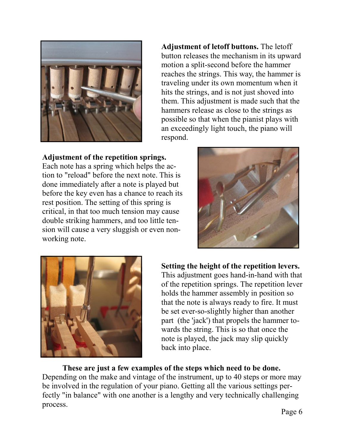

**Adjustment of letoff buttons.** The letoff button releases the mechanism in its upward motion a split-second before the hammer reaches the strings. This way, the hammer is traveling under its own momentum when it hits the strings, and is not just shoved into them. This adjustment is made such that the hammers release as close to the strings as possible so that when the pianist plays with an exceedingly light touch, the piano will respond.

# **Adjustment of the repetition springs.**

Each note has a spring which helps the action to "reload" before the next note. This is done immediately after a note is played but before the key even has a chance to reach its rest position. The setting of this spring is critical, in that too much tension may cause double striking hammers, and too little tension will cause a very sluggish or even nonworking note.





**Setting the height of the repetition levers.**  This adjustment goes hand-in-hand with that of the repetition springs. The repetition lever holds the hammer assembly in position so that the note is always ready to fire. It must be set ever-so-slightly higher than another part (the 'jack') that propels the hammer towards the string. This is so that once the note is played, the jack may slip quickly back into place.

 **These are just a few examples of the steps which need to be done.**  Depending on the make and vintage of the instrument, up to 40 steps or more may be involved in the regulation of your piano. Getting all the various settings perfectly "in balance" with one another is a lengthy and very technically challenging process.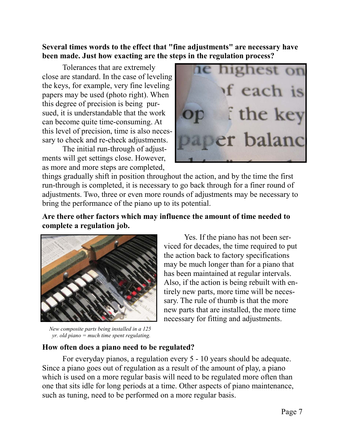# **Several times words to the effect that "fine adjustments" are necessary have been made. Just how exacting are the steps in the regulation process?**

 Tolerances that are extremely close are standard. In the case of leveling the keys, for example, very fine leveling papers may be used (photo right). When this degree of precision is being pursued, it is understandable that the work can become quite time-consuming. At this level of precision, time is also necessary to check and re-check adjustments.

 The initial run-through of adjustments will get settings close. However, as more and more steps are completed,



things gradually shift in position throughout the action, and by the time the first run-through is completed, it is necessary to go back through for a finer round of adjustments. Two, three or even more rounds of adjustments may be necessary to bring the performance of the piano up to its potential.

# **Are there other factors which may influence the amount of time needed to complete a regulation job.**



 *New composite parts being installed in a 125 yr. old piano = much time spent regulating.*

 Yes. If the piano has not been serviced for decades, the time required to put the action back to factory specifications may be much longer than for a piano that has been maintained at regular intervals. Also, if the action is being rebuilt with entirely new parts, more time will be necessary. The rule of thumb is that the more new parts that are installed, the more time necessary for fitting and adjustments.

## **How often does a piano need to be regulated?**

 For everyday pianos, a regulation every 5 - 10 years should be adequate. Since a piano goes out of regulation as a result of the amount of play, a piano which is used on a more regular basis will need to be regulated more often than one that sits idle for long periods at a time. Other aspects of piano maintenance, such as tuning, need to be performed on a more regular basis.